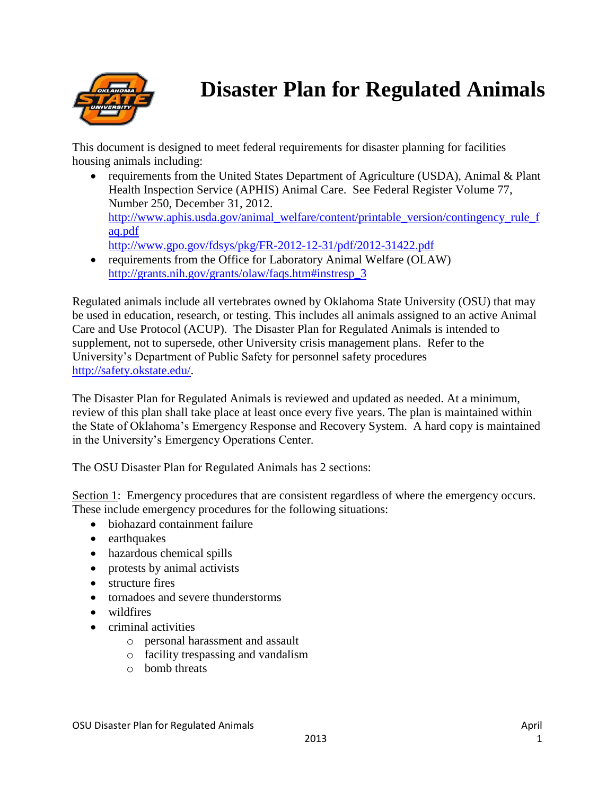

# **Disaster Plan for Regulated Animals**

This document is designed to meet federal requirements for disaster planning for facilities housing animals including:

- requirements from the United States Department of Agriculture (USDA), Animal & Plant Health Inspection Service (APHIS) Animal Care. See Federal Register Volume 77, Number 250, December 31, 2012. [http://www.aphis.usda.gov/animal\\_welfare/content/printable\\_version/contingency\\_rule\\_f](http://www.aphis.usda.gov/animal_welfare/content/printable_version/contingency_rule_faq.pdf) [aq.pdf](http://www.aphis.usda.gov/animal_welfare/content/printable_version/contingency_rule_faq.pdf)  <http://www.gpo.gov/fdsys/pkg/FR-2012-12-31/pdf/2012-31422.pdf>
- requirements from the Office for Laboratory Animal Welfare (OLAW) [http://grants.nih.gov/grants/olaw/faqs.htm#instresp\\_3](http://grants.nih.gov/grants/olaw/faqs.htm#instresp_3)

Regulated animals include all vertebrates owned by Oklahoma State University (OSU) that may be used in education, research, or testing. This includes all animals assigned to an active Animal Care and Use Protocol (ACUP). The Disaster Plan for Regulated Animals is intended to supplement, not to supersede, other University crisis management plans. Refer to the University's Department of Public Safety for personnel safety procedures [http://safety.okstate.edu/.](http://safety.okstate.edu/)

The Disaster Plan for Regulated Animals is reviewed and updated as needed. At a minimum, review of this plan shall take place at least once every five years. The plan is maintained within the State of Oklahoma's Emergency Response and Recovery System. A hard copy is maintained in the University's Emergency Operations Center.

The OSU Disaster Plan for Regulated Animals has 2 sections:

Section 1: Emergency procedures that are consistent regardless of where the emergency occurs. These include emergency procedures for the following situations:

- biohazard containment failure
- earthquakes
- hazardous chemical spills
- protests by animal activists
- structure fires
- tornadoes and severe thunderstorms
- wildfires
- criminal activities
	- o personal harassment and assault
	- o facility trespassing and vandalism
	- $\circ$  bomb threats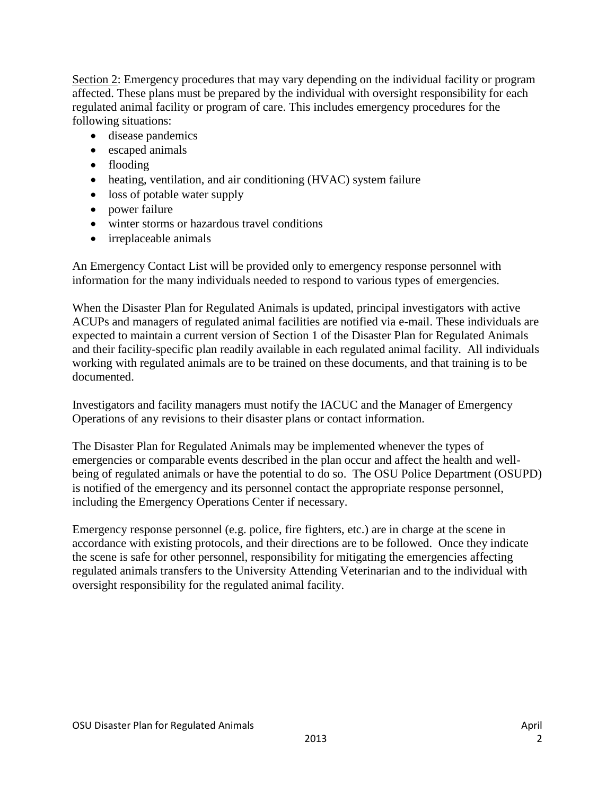Section 2: Emergency procedures that may vary depending on the individual facility or program affected. These plans must be prepared by the individual with oversight responsibility for each regulated animal facility or program of care. This includes emergency procedures for the following situations:

- disease pandemics
- escaped animals
- flooding
- heating, ventilation, and air conditioning (HVAC) system failure
- loss of potable water supply
- power failure
- winter storms or hazardous travel conditions
- irreplaceable animals

An Emergency Contact List will be provided only to emergency response personnel with information for the many individuals needed to respond to various types of emergencies.

When the Disaster Plan for Regulated Animals is updated, principal investigators with active ACUPs and managers of regulated animal facilities are notified via e-mail. These individuals are expected to maintain a current version of Section 1 of the Disaster Plan for Regulated Animals and their facility-specific plan readily available in each regulated animal facility. All individuals working with regulated animals are to be trained on these documents, and that training is to be documented.

Investigators and facility managers must notify the IACUC and the Manager of Emergency Operations of any revisions to their disaster plans or contact information.

The Disaster Plan for Regulated Animals may be implemented whenever the types of emergencies or comparable events described in the plan occur and affect the health and wellbeing of regulated animals or have the potential to do so. The OSU Police Department (OSUPD) is notified of the emergency and its personnel contact the appropriate response personnel, including the Emergency Operations Center if necessary.

Emergency response personnel (e.g. police, fire fighters, etc.) are in charge at the scene in accordance with existing protocols, and their directions are to be followed. Once they indicate the scene is safe for other personnel, responsibility for mitigating the emergencies affecting regulated animals transfers to the University Attending Veterinarian and to the individual with oversight responsibility for the regulated animal facility.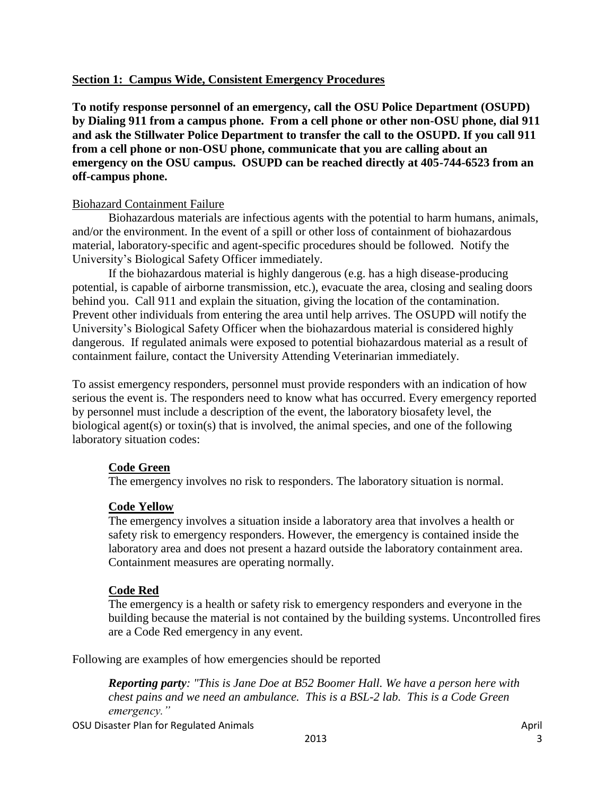## **Section 1: Campus Wide, Consistent Emergency Procedures**

**To notify response personnel of an emergency, call the OSU Police Department (OSUPD) by Dialing 911 from a campus phone. From a cell phone or other non-OSU phone, dial 911 and ask the Stillwater Police Department to transfer the call to the OSUPD. If you call 911 from a cell phone or non-OSU phone, communicate that you are calling about an emergency on the OSU campus. OSUPD can be reached directly at 405-744-6523 from an off-campus phone.**

## Biohazard Containment Failure

Biohazardous materials are infectious agents with the potential to harm humans, animals, and/or the environment. In the event of a spill or other loss of containment of biohazardous material, laboratory-specific and agent-specific procedures should be followed. Notify the University's Biological Safety Officer immediately.

If the biohazardous material is highly dangerous (e.g. has a high disease-producing potential, is capable of airborne transmission, etc.), evacuate the area, closing and sealing doors behind you. Call 911 and explain the situation, giving the location of the contamination. Prevent other individuals from entering the area until help arrives. The OSUPD will notify the University's Biological Safety Officer when the biohazardous material is considered highly dangerous. If regulated animals were exposed to potential biohazardous material as a result of containment failure, contact the University Attending Veterinarian immediately.

To assist emergency responders, personnel must provide responders with an indication of how serious the event is. The responders need to know what has occurred. Every emergency reported by personnel must include a description of the event, the laboratory biosafety level, the biological agent(s) or toxin(s) that is involved, the animal species, and one of the following laboratory situation codes:

# **Code Green**

The emergency involves no risk to responders. The laboratory situation is normal.

# **Code Yellow**

The emergency involves a situation inside a laboratory area that involves a health or safety risk to emergency responders. However, the emergency is contained inside the laboratory area and does not present a hazard outside the laboratory containment area. Containment measures are operating normally.

# **Code Red**

The emergency is a health or safety risk to emergency responders and everyone in the building because the material is not contained by the building systems. Uncontrolled fires are a Code Red emergency in any event.

Following are examples of how emergencies should be reported

*Reporting party: "This is Jane Doe at B52 Boomer Hall. We have a person here with chest pains and we need an ambulance. This is a BSL-2 lab. This is a Code Green emergency."*

OSU Disaster Plan for Regulated Animals and April 2008 and April 2009 and April 2009 and April 2009 and April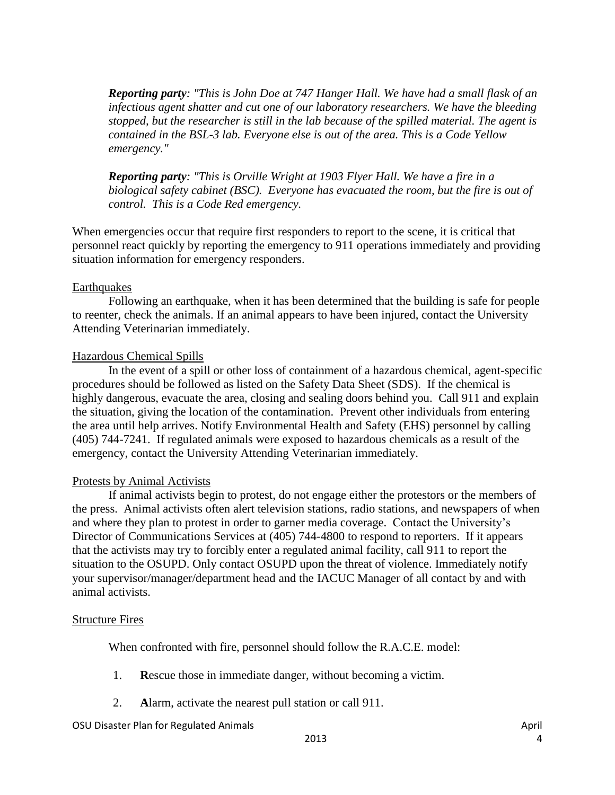*Reporting party: "This is John Doe at 747 Hanger Hall. We have had a small flask of an infectious agent shatter and cut one of our laboratory researchers. We have the bleeding stopped, but the researcher is still in the lab because of the spilled material. The agent is contained in the BSL-3 lab. Everyone else is out of the area. This is a Code Yellow emergency."*

*Reporting party: "This is Orville Wright at 1903 Flyer Hall. We have a fire in a biological safety cabinet (BSC). Everyone has evacuated the room, but the fire is out of control. This is a Code Red emergency.* 

When emergencies occur that require first responders to report to the scene, it is critical that personnel react quickly by reporting the emergency to 911 operations immediately and providing situation information for emergency responders.

## Earthquakes

Following an earthquake, when it has been determined that the building is safe for people to reenter, check the animals. If an animal appears to have been injured, contact the University Attending Veterinarian immediately.

## Hazardous Chemical Spills

In the event of a spill or other loss of containment of a hazardous chemical, agent-specific procedures should be followed as listed on the Safety Data Sheet (SDS). If the chemical is highly dangerous, evacuate the area, closing and sealing doors behind you. Call 911 and explain the situation, giving the location of the contamination. Prevent other individuals from entering the area until help arrives. Notify Environmental Health and Safety (EHS) personnel by calling (405) 744-7241. If regulated animals were exposed to hazardous chemicals as a result of the emergency, contact the University Attending Veterinarian immediately.

## Protests by Animal Activists

If animal activists begin to protest, do not engage either the protestors or the members of the press. Animal activists often alert television stations, radio stations, and newspapers of when and where they plan to protest in order to garner media coverage. Contact the University's Director of Communications Services at (405) 744-4800 to respond to reporters. If it appears that the activists may try to forcibly enter a regulated animal facility, call 911 to report the situation to the OSUPD. Only contact OSUPD upon the threat of violence. Immediately notify your supervisor/manager/department head and the IACUC Manager of all contact by and with animal activists.

#### Structure Fires

When confronted with fire, personnel should follow the R.A.C.E. model:

- 1. **R**escue those in immediate danger, without becoming a victim.
- 2. **A**larm, activate the nearest pull station or call 911.

#### OSU Disaster Plan for Regulated Animals April 2008 and April 2009 and April 2009 and April 2009 and April 2009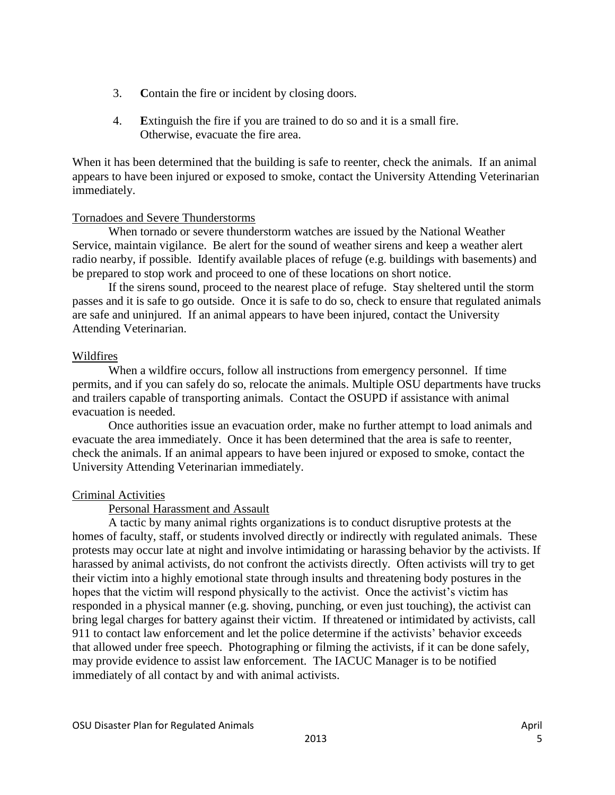- 3. **C**ontain the fire or incident by closing doors.
- 4. **E**xtinguish the fire if you are trained to do so and it is a small fire. Otherwise, evacuate the fire area.

When it has been determined that the building is safe to reenter, check the animals. If an animal appears to have been injured or exposed to smoke, contact the University Attending Veterinarian immediately.

## Tornadoes and Severe Thunderstorms

When tornado or severe thunderstorm watches are issued by the National Weather Service, maintain vigilance. Be alert for the sound of weather sirens and keep a weather alert radio nearby, if possible. Identify available places of refuge (e.g. buildings with basements) and be prepared to stop work and proceed to one of these locations on short notice.

If the sirens sound, proceed to the nearest place of refuge. Stay sheltered until the storm passes and it is safe to go outside. Once it is safe to do so, check to ensure that regulated animals are safe and uninjured. If an animal appears to have been injured, contact the University Attending Veterinarian.

## Wildfires

When a wildfire occurs, follow all instructions from emergency personnel. If time permits, and if you can safely do so, relocate the animals. Multiple OSU departments have trucks and trailers capable of transporting animals. Contact the OSUPD if assistance with animal evacuation is needed.

Once authorities issue an evacuation order, make no further attempt to load animals and evacuate the area immediately. Once it has been determined that the area is safe to reenter, check the animals. If an animal appears to have been injured or exposed to smoke, contact the University Attending Veterinarian immediately.

## Criminal Activities

Personal Harassment and Assault

A tactic by many animal rights organizations is to conduct disruptive protests at the homes of faculty, staff, or students involved directly or indirectly with regulated animals. These protests may occur late at night and involve intimidating or harassing behavior by the activists. If harassed by animal activists, do not confront the activists directly. Often activists will try to get their victim into a highly emotional state through insults and threatening body postures in the hopes that the victim will respond physically to the activist. Once the activist's victim has responded in a physical manner (e.g. shoving, punching, or even just touching), the activist can bring legal charges for battery against their victim. If threatened or intimidated by activists, call 911 to contact law enforcement and let the police determine if the activists' behavior exceeds that allowed under free speech. Photographing or filming the activists, if it can be done safely, may provide evidence to assist law enforcement. The IACUC Manager is to be notified immediately of all contact by and with animal activists.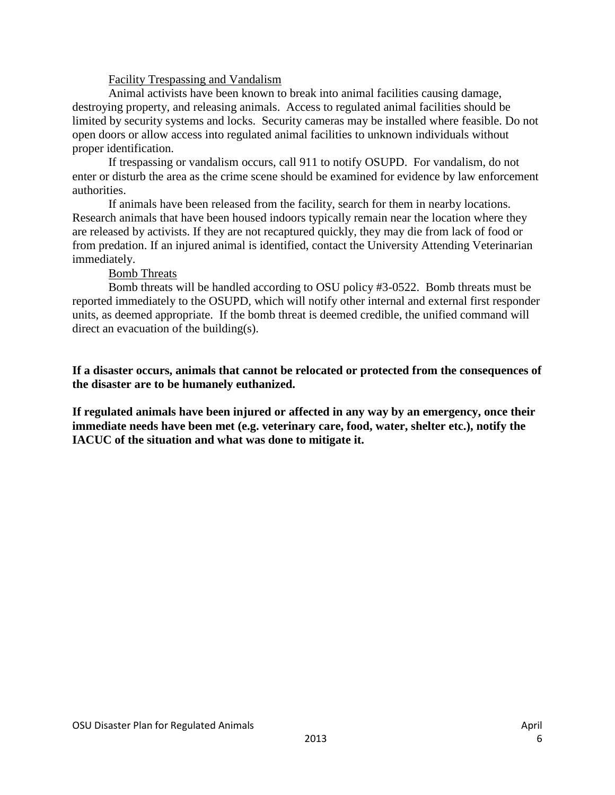## Facility Trespassing and Vandalism

Animal activists have been known to break into animal facilities causing damage, destroying property, and releasing animals. Access to regulated animal facilities should be limited by security systems and locks. Security cameras may be installed where feasible. Do not open doors or allow access into regulated animal facilities to unknown individuals without proper identification.

If trespassing or vandalism occurs, call 911 to notify OSUPD. For vandalism, do not enter or disturb the area as the crime scene should be examined for evidence by law enforcement authorities.

If animals have been released from the facility, search for them in nearby locations. Research animals that have been housed indoors typically remain near the location where they are released by activists. If they are not recaptured quickly, they may die from lack of food or from predation. If an injured animal is identified, contact the University Attending Veterinarian immediately.

## Bomb Threats

Bomb threats will be handled according to OSU policy #3-0522. Bomb threats must be reported immediately to the OSUPD, which will notify other internal and external first responder units, as deemed appropriate. If the bomb threat is deemed credible, the unified command will direct an evacuation of the building(s).

**If a disaster occurs, animals that cannot be relocated or protected from the consequences of the disaster are to be humanely euthanized.**

**If regulated animals have been injured or affected in any way by an emergency, once their immediate needs have been met (e.g. veterinary care, food, water, shelter etc.), notify the IACUC of the situation and what was done to mitigate it.**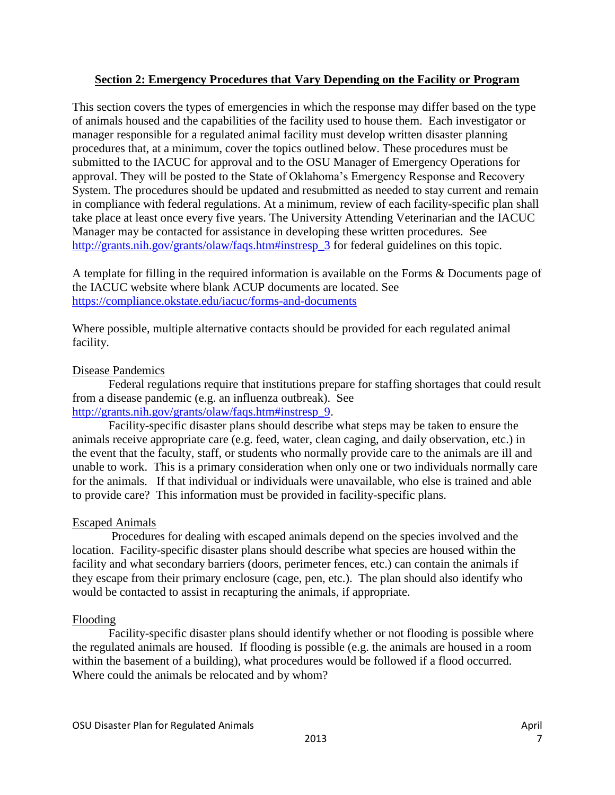## **Section 2: Emergency Procedures that Vary Depending on the Facility or Program**

This section covers the types of emergencies in which the response may differ based on the type of animals housed and the capabilities of the facility used to house them. Each investigator or manager responsible for a regulated animal facility must develop written disaster planning procedures that, at a minimum, cover the topics outlined below. These procedures must be submitted to the IACUC for approval and to the OSU Manager of Emergency Operations for approval. They will be posted to the State of Oklahoma's Emergency Response and Recovery System. The procedures should be updated and resubmitted as needed to stay current and remain in compliance with federal regulations. At a minimum, review of each facility-specific plan shall take place at least once every five years. The University Attending Veterinarian and the IACUC Manager may be contacted for assistance in developing these written procedures. See [http://grants.nih.gov/grants/olaw/faqs.htm#instresp\\_3](http://grants.nih.gov/grants/olaw/faqs.htm#instresp_3) for federal guidelines on this topic.

A template for filling in the required information is available on the Forms & Documents page of the IACUC website where blank ACUP documents are located. See <https://compliance.okstate.edu/iacuc/forms-and-documents>

Where possible, multiple alternative contacts should be provided for each regulated animal facility.

## Disease Pandemics

Federal regulations require that institutions prepare for staffing shortages that could result from a disease pandemic (e.g. an influenza outbreak). See [http://grants.nih.gov/grants/olaw/faqs.htm#instresp\\_9.](http://grants.nih.gov/grants/olaw/faqs.htm#instresp_9)

Facility-specific disaster plans should describe what steps may be taken to ensure the animals receive appropriate care (e.g. feed, water, clean caging, and daily observation, etc.) in the event that the faculty, staff, or students who normally provide care to the animals are ill and unable to work. This is a primary consideration when only one or two individuals normally care for the animals. If that individual or individuals were unavailable, who else is trained and able to provide care? This information must be provided in facility-specific plans.

## Escaped Animals

Procedures for dealing with escaped animals depend on the species involved and the location. Facility-specific disaster plans should describe what species are housed within the facility and what secondary barriers (doors, perimeter fences, etc.) can contain the animals if they escape from their primary enclosure (cage, pen, etc.). The plan should also identify who would be contacted to assist in recapturing the animals, if appropriate.

## Flooding

Facility-specific disaster plans should identify whether or not flooding is possible where the regulated animals are housed. If flooding is possible (e.g. the animals are housed in a room within the basement of a building), what procedures would be followed if a flood occurred. Where could the animals be relocated and by whom?